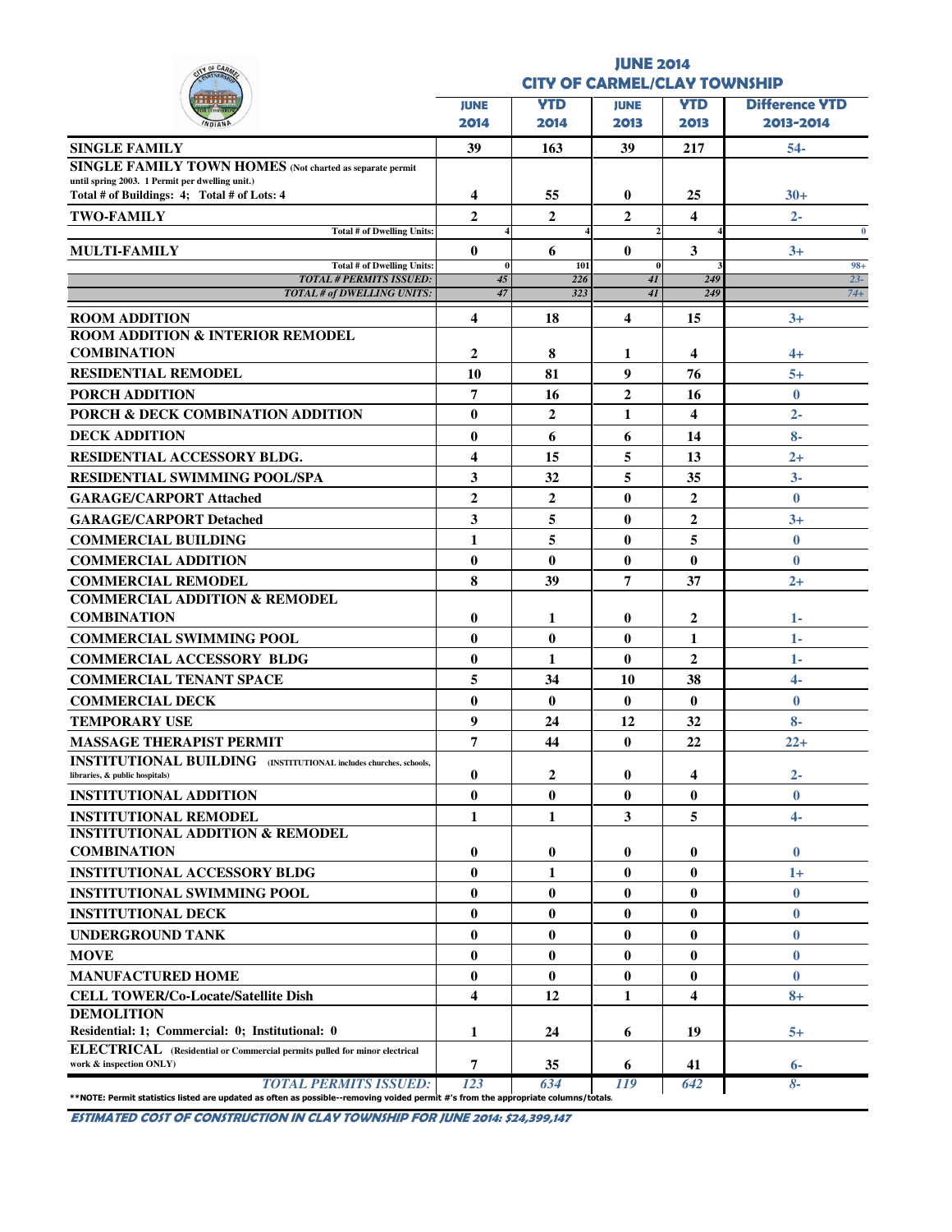| Y OF CAA                                                                                       | <b>JUNE 2014</b>        |                |                |                  |                                     |  |  |  |  |  |  |
|------------------------------------------------------------------------------------------------|-------------------------|----------------|----------------|------------------|-------------------------------------|--|--|--|--|--|--|
|                                                                                                |                         |                |                |                  | <b>CITY OF CARMEL/CLAY TOWNSHIP</b> |  |  |  |  |  |  |
|                                                                                                | <b>JUNE</b>             | <b>YTD</b>     | <b>JUNE</b>    | <b>YTD</b>       | <b>Difference VTD</b>               |  |  |  |  |  |  |
|                                                                                                | 2014                    | 2014           | 2013           | 2013             | 2013-2014                           |  |  |  |  |  |  |
| <b>SINGLE FAMILY</b>                                                                           | 39                      | 163            | 39             | 217              | $54-$                               |  |  |  |  |  |  |
| <b>SINGLE FAMILY TOWN HOMES</b> (Not charted as separate permit                                |                         |                |                |                  |                                     |  |  |  |  |  |  |
| until spring 2003. 1 Permit per dwelling unit.)<br>Total # of Buildings: 4; Total # of Lots: 4 | 4                       | 55             | $\bf{0}$       | 25               | $30+$                               |  |  |  |  |  |  |
|                                                                                                | $\mathbf{2}$            | $\mathbf{2}$   | $\mathbf{2}$   | 4                | $2 -$                               |  |  |  |  |  |  |
| <b>TWO-FAMILY</b><br><b>Total # of Dwelling Units:</b>                                         |                         |                |                |                  | $\bf{0}$                            |  |  |  |  |  |  |
| <b>MULTI-FAMILY</b>                                                                            | $\bf{0}$                | 6              | $\bf{0}$       | 3                | $3+$                                |  |  |  |  |  |  |
| Total # of Dwelling Units:                                                                     | $\bf{0}$                | 101            |                |                  | $98 +$                              |  |  |  |  |  |  |
| <b>TOTAL # PERMITS ISSUED:</b><br><b>TOTAL # of DWELLING UNITS:</b>                            | 45<br>47                | 226<br>323     | 41<br>41       | 249<br>249       | $23 -$<br>$74 +$                    |  |  |  |  |  |  |
|                                                                                                | 4                       | 18             | 4              | 15               |                                     |  |  |  |  |  |  |
| <b>ROOM ADDITION</b><br><b>ROOM ADDITION &amp; INTERIOR REMODEL</b>                            |                         |                |                |                  | $3+$                                |  |  |  |  |  |  |
| <b>COMBINATION</b>                                                                             | $\mathbf{2}$            | 8              | 1              | 4                | $4+$                                |  |  |  |  |  |  |
| <b>RESIDENTIAL REMODEL</b>                                                                     | 10                      | 81             | 9              | 76               | $5+$                                |  |  |  |  |  |  |
| <b>PORCH ADDITION</b>                                                                          | 7                       | 16             | $\overline{2}$ | 16               | $\mathbf{0}$                        |  |  |  |  |  |  |
| PORCH & DECK COMBINATION ADDITION                                                              | $\bf{0}$                | $\mathbf{2}$   | 1              | 4                | $2 -$                               |  |  |  |  |  |  |
| <b>DECK ADDITION</b>                                                                           | $\bf{0}$                | 6              | 6              | 14               | $8-$                                |  |  |  |  |  |  |
| RESIDENTIAL ACCESSORY BLDG.                                                                    | 4                       | 15             | 5              | 13               | $2+$                                |  |  |  |  |  |  |
| <b>RESIDENTIAL SWIMMING POOL/SPA</b>                                                           | 3                       | 32             | 5              | 35               | $3-$                                |  |  |  |  |  |  |
| <b>GARAGE/CARPORT Attached</b>                                                                 | $\overline{2}$          | $\overline{2}$ | $\bf{0}$       | $\overline{2}$   | $\mathbf{0}$                        |  |  |  |  |  |  |
| <b>GARAGE/CARPORT Detached</b>                                                                 | 3                       | 5              | $\bf{0}$       | $\overline{2}$   | $3+$                                |  |  |  |  |  |  |
| <b>COMMERCIAL BUILDING</b>                                                                     | 1                       | 5              | $\bf{0}$       | 5                | $\mathbf{0}$                        |  |  |  |  |  |  |
| <b>COMMERCIAL ADDITION</b>                                                                     | $\bf{0}$                | $\bf{0}$       | $\bf{0}$       | $\bf{0}$         | $\mathbf{0}$                        |  |  |  |  |  |  |
| <b>COMMERCIAL REMODEL</b>                                                                      | 8                       | 39             | 7              | 37               | $2+$                                |  |  |  |  |  |  |
| <b>COMMERCIAL ADDITION &amp; REMODEL</b>                                                       |                         |                |                |                  |                                     |  |  |  |  |  |  |
| <b>COMBINATION</b>                                                                             | 0                       | 1              | 0              | $\boldsymbol{2}$ | 1-                                  |  |  |  |  |  |  |
| <b>COMMERCIAL SWIMMING POOL</b>                                                                | 0                       | $\bf{0}$       | $\bf{0}$       | 1                | $1 -$                               |  |  |  |  |  |  |
| <b>COMMERCIAL ACCESSORY BLDG</b>                                                               | $\bf{0}$                | 1              | $\bf{0}$       | $\mathbf{2}$     | $1-$                                |  |  |  |  |  |  |
| <b>COMMERCIAL TENANT SPACE</b>                                                                 | 5                       | 34             | 10             | 38               | $\overline{4}$                      |  |  |  |  |  |  |
| <b>COMMERCIAL DECK</b>                                                                         | $\bf{0}$                | $\bf{0}$       | $\bf{0}$       | $\bf{0}$         | $\bf{0}$                            |  |  |  |  |  |  |
| <b>TEMPORARY USE</b>                                                                           | 9                       | 24             | 12             | 32               | $8-$                                |  |  |  |  |  |  |
| <b>MASSAGE THERAPIST PERMIT</b>                                                                | 7                       | 44             | $\bf{0}$       | 22               | $22+$                               |  |  |  |  |  |  |
| <b>INSTITUTIONAL BUILDING</b> (INSTITUTIONAL includes churches, schools,                       |                         |                |                |                  |                                     |  |  |  |  |  |  |
| libraries, & public hospitals)                                                                 | 0                       | 2              | $\bf{0}$       | 4                | $2 -$                               |  |  |  |  |  |  |
| <b>INSTITUTIONAL ADDITION</b>                                                                  | $\bf{0}$                | $\bf{0}$       | $\bf{0}$       | $\bf{0}$         | $\bf{0}$                            |  |  |  |  |  |  |
| <b>INSTITUTIONAL REMODEL</b>                                                                   | 1                       | 1              | 3              | 5                | $4-$                                |  |  |  |  |  |  |
| <b>INSTITUTIONAL ADDITION &amp; REMODEL</b>                                                    |                         |                |                |                  |                                     |  |  |  |  |  |  |
| <b>COMBINATION</b>                                                                             | $\bf{0}$                | $\bf{0}$       | $\bf{0}$       | $\bf{0}$         | $\bf{0}$                            |  |  |  |  |  |  |
| <b>INSTITUTIONAL ACCESSORY BLDG</b>                                                            | $\bf{0}$                | 1              | $\bf{0}$       | $\bf{0}$         | 1+                                  |  |  |  |  |  |  |
| <b>INSTITUTIONAL SWIMMING POOL</b>                                                             | $\bf{0}$                | $\bf{0}$       | $\bf{0}$       | $\bf{0}$         | $\bf{0}$                            |  |  |  |  |  |  |
| <b>INSTITUTIONAL DECK</b>                                                                      | $\bf{0}$                | $\bf{0}$       | $\bf{0}$       | $\bf{0}$         | $\mathbf{0}$                        |  |  |  |  |  |  |
| <b>UNDERGROUND TANK</b>                                                                        | $\bf{0}$                | $\bf{0}$       | $\bf{0}$       | $\bf{0}$         | $\bf{0}$                            |  |  |  |  |  |  |
| <b>MOVE</b>                                                                                    | $\bf{0}$                | $\bf{0}$       | 0              | $\bf{0}$         | $\bf{0}$                            |  |  |  |  |  |  |
| <b>MANUFACTURED HOME</b>                                                                       | $\bf{0}$                | $\bf{0}$       | $\bf{0}$       | $\bf{0}$         | $\mathbf{0}$                        |  |  |  |  |  |  |
| <b>CELL TOWER/Co-Locate/Satellite Dish</b>                                                     | $\overline{\mathbf{4}}$ | 12             | 1              | 4                | $8+$                                |  |  |  |  |  |  |
| <b>DEMOLITION</b><br>Residential: 1; Commercial: 0; Institutional: 0                           | 1                       | 24             | 6              | 19               | 5+                                  |  |  |  |  |  |  |
| ELECTRICAL (Residential or Commercial permits pulled for minor electrical                      |                         |                |                |                  |                                     |  |  |  |  |  |  |
|                                                                                                |                         |                |                |                  |                                     |  |  |  |  |  |  |
| work & inspection ONLY)                                                                        | 7                       | 35             | 6              | 41               | $6-$                                |  |  |  |  |  |  |

ESTIMATED COST OF CONSTRUCTION IN CLAY TOWNSHIP FOR JUNE 2014: \$24,399,147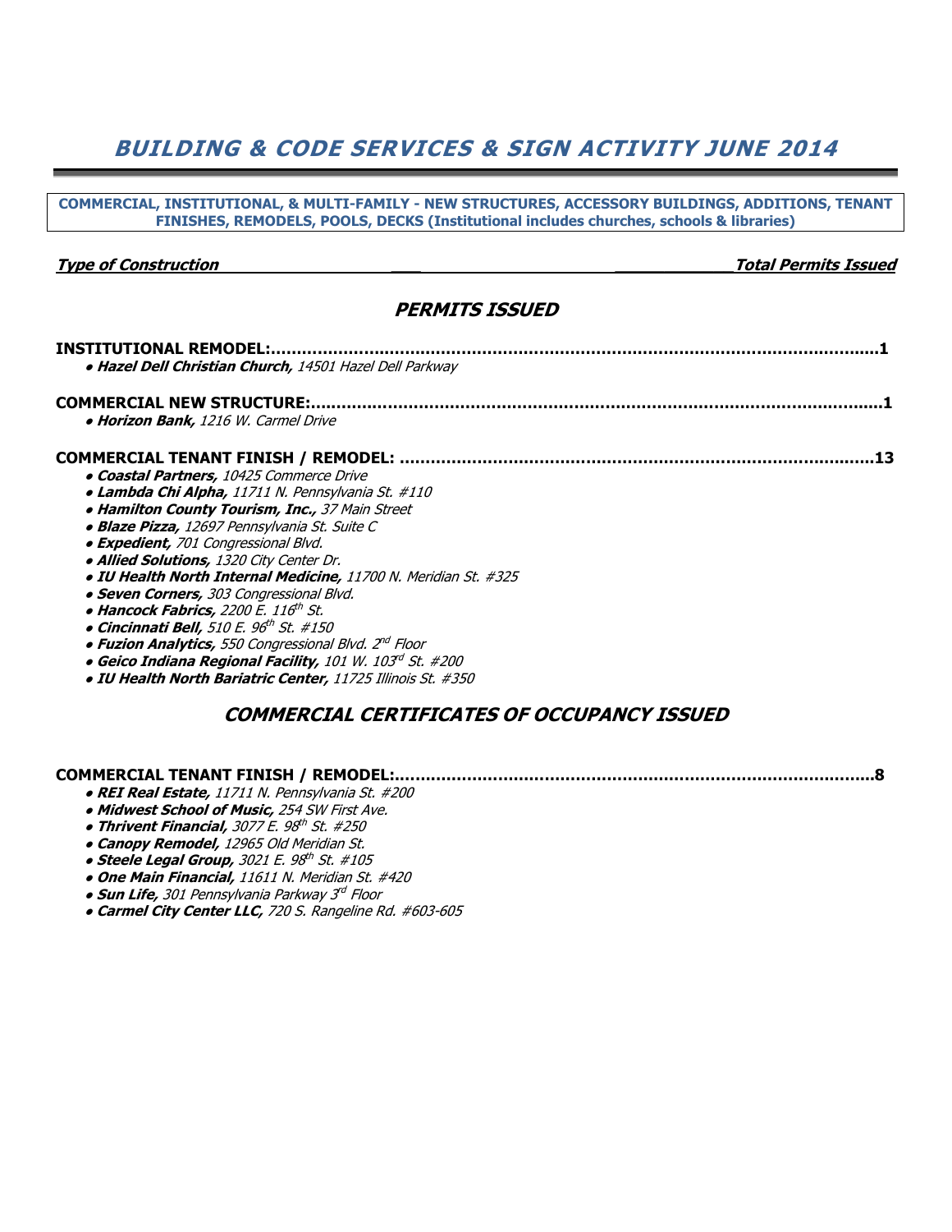## BUILDING & CODE SERVICES & SIGN ACTIVITY JUNE 2014

COMMERCIAL, INSTITUTIONAL, & MULTI-FAMILY - NEW STRUCTURES, ACCESSORY BUILDINGS, ADDITIONS, TENANT FINISHES, REMODELS, POOLS, DECKS (Institutional includes churches, schools & libraries) Type of Construction \_\_\_ \_\_\_\_\_\_\_\_\_\_\_\_Total Permits Issued PERMITS ISSUED INSTITUTIONAL REMODEL:…………………..……..………………………………………………………………….…….....1 • Hazel Dell Christian Church, 14501 Hazel Dell Parkway COMMERCIAL NEW STRUCTURE:…..…….…………………………………………………………………………….…….....1 • Horizon Bank, 1216 W. Carmel Drive COMMERCIAL TENANT FINISH / REMODEL: ……………………………………………………………………….…..…..13 ● Coastal Partners, 10425 Commerce Drive ● Lambda Chi Alpha, 11711 N. Pennsylvania St. #110 • Hamilton County Tourism, Inc., 37 Main Street ● Blaze Pizza, 12697 Pennsylvania St. Suite C • Expedient, 701 Congressional Blvd. ● Allied Solutions, 1320 City Center Dr. ● IU Health North Internal Medicine, 11700 N. Meridian St. #325 • Seven Corners, 303 Congressional Blvd. o Hancock Fabrics, 2200 E. 116<sup>th</sup> St. o Cincinnati Bell, 510 E. 96<sup>th</sup> St. #150 • Fuzion Analytics, 550 Congressional Blvd. 2<sup>nd</sup> Floor  $\bullet$  Geico Indiana Regional Facility,  $101$  W.  $103^{rd}$  St. #200 ● IU Health North Bariatric Center, 11725 Illinois St. #350 COMMERCIAL CERTIFICATES OF OCCUPANCY ISSUED COMMERCIAL TENANT FINISH / REMODEL:.…….………………………………………………………………….……...8 ● REI Real Estate, 11711 N. Pennsylvania St. #200 • Midwest School of Music, 254 SW First Ave. • Thrivent Financial, 3077 E. 98<sup>th</sup> St. #250

- Canopy Remodel, 12965 Old Meridian St.
- $\bullet$  Steele Legal Group, 3021 E. 98 $^{\rm th}$  St. #105
	- One Main Financial, 11611 N. Meridian St. #420
- $\bullet$  Sun Life, 301 Pennsylvania Parkway 3 $^{d}$  Floor
	- Carmel City Center LLC, 720 S. Rangeline Rd. #603-605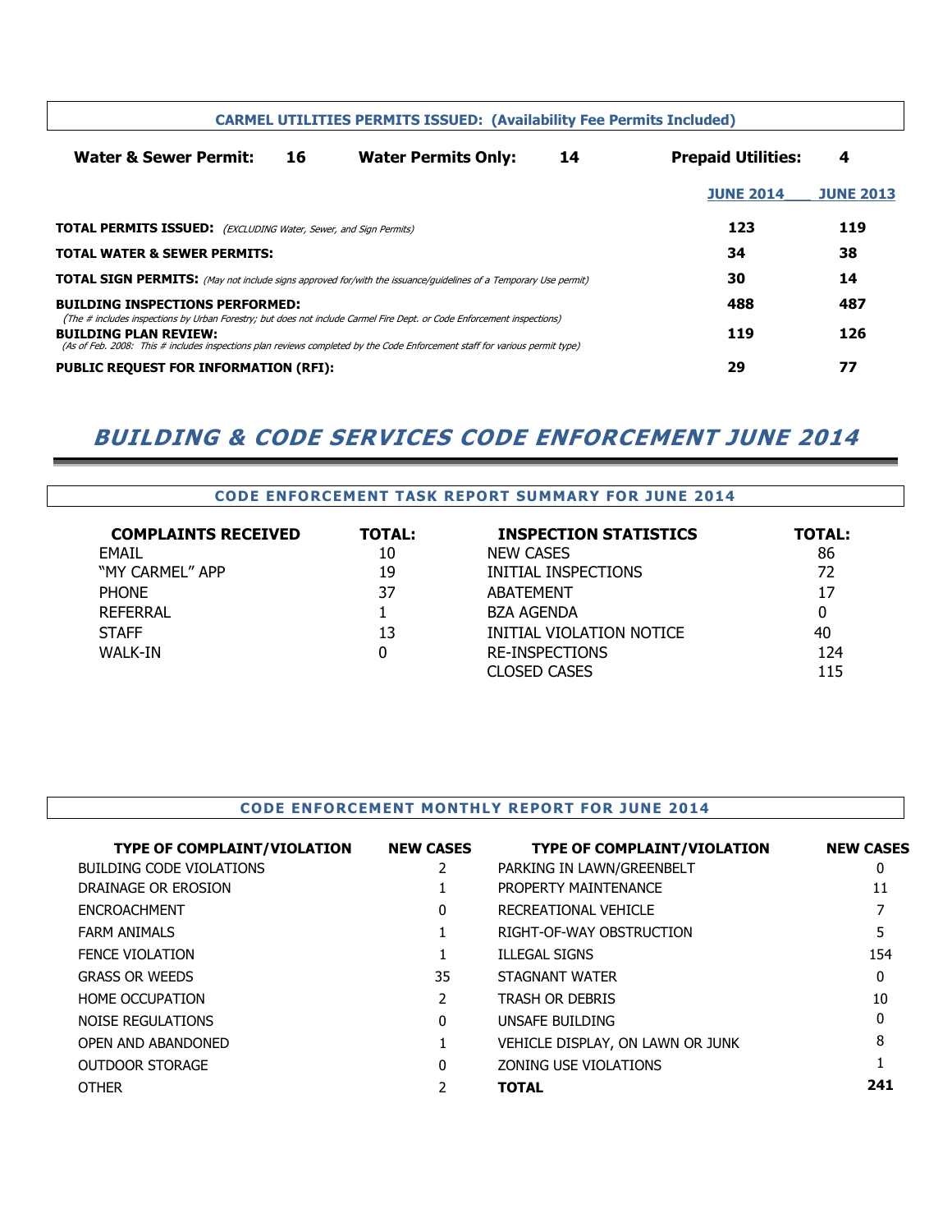|                                                                                                                                                             | <b>CARMEL UTILITIES PERMITS ISSUED: (Availability Fee Permits Included)</b> |                                                                                                                        |    |                           |                  |  |  |  |  |  |  |  |  |  |
|-------------------------------------------------------------------------------------------------------------------------------------------------------------|-----------------------------------------------------------------------------|------------------------------------------------------------------------------------------------------------------------|----|---------------------------|------------------|--|--|--|--|--|--|--|--|--|
| Water & Sewer Permit:                                                                                                                                       | 16<br><b>Water Permits Only:</b>                                            |                                                                                                                        | 14 | <b>Prepaid Utilities:</b> | 4                |  |  |  |  |  |  |  |  |  |
|                                                                                                                                                             |                                                                             |                                                                                                                        |    | <b>JUNE 2014</b>          | <b>JUNE 2013</b> |  |  |  |  |  |  |  |  |  |
|                                                                                                                                                             | <b>TOTAL PERMITS ISSUED:</b> (EXCLUDING Water, Sewer, and Sign Permits)     |                                                                                                                        |    |                           |                  |  |  |  |  |  |  |  |  |  |
| <b>TOTAL WATER &amp; SEWER PERMITS:</b>                                                                                                                     |                                                                             |                                                                                                                        |    | 34                        | 38               |  |  |  |  |  |  |  |  |  |
| <b>TOTAL SIGN PERMITS:</b> (May not include signs approved for/with the issuance/guidelines of a Temporary Use permit)                                      |                                                                             |                                                                                                                        |    | 30                        | 14               |  |  |  |  |  |  |  |  |  |
| <b>BUILDING INSPECTIONS PERFORMED:</b>                                                                                                                      |                                                                             |                                                                                                                        |    | 488                       | 487              |  |  |  |  |  |  |  |  |  |
| <b>BUILDING PLAN REVIEW:</b><br>(As of Feb. 2008: This # includes inspections plan reviews completed by the Code Enforcement staff for various permit type) |                                                                             | (The # includes inspections by Urban Forestry; but does not include Carmel Fire Dept. or Code Enforcement inspections) |    | 119                       | 126              |  |  |  |  |  |  |  |  |  |
| <b>PUBLIC REQUEST FOR INFORMATION (RFI):</b>                                                                                                                |                                                                             |                                                                                                                        |    | 29                        | 77               |  |  |  |  |  |  |  |  |  |

### BUILDING & CODE SERVICES CODE ENFORCEMENT JUNE 2014

|                            | <b>CODE ENFORCEMENT TASK REPORT SUMMARY FOR JUNE 2014</b> |                              |               |  |  |  |  |  |  |  |  |  |  |
|----------------------------|-----------------------------------------------------------|------------------------------|---------------|--|--|--|--|--|--|--|--|--|--|
| <b>COMPLAINTS RECEIVED</b> | TOTAL:                                                    | <b>INSPECTION STATISTICS</b> | <b>TOTAL:</b> |  |  |  |  |  |  |  |  |  |  |
| <b>FMAIL</b>               | 10                                                        | <b>NEW CASES</b>             | 86            |  |  |  |  |  |  |  |  |  |  |
| "MY CARMEL" APP            | 19                                                        | INITIAL INSPECTIONS          | 72            |  |  |  |  |  |  |  |  |  |  |
| <b>PHONE</b>               | 37                                                        | <b>ABATEMENT</b>             | 17            |  |  |  |  |  |  |  |  |  |  |
| <b>REFERRAL</b>            |                                                           | <b>BZA AGENDA</b>            |               |  |  |  |  |  |  |  |  |  |  |
| <b>STAFF</b>               | 13                                                        | INITIAL VIOLATION NOTICE     | 40            |  |  |  |  |  |  |  |  |  |  |
| <b>WALK-IN</b>             | 0                                                         | <b>RE-INSPECTIONS</b>        | 124           |  |  |  |  |  |  |  |  |  |  |
|                            |                                                           | <b>CLOSED CASES</b>          | 115           |  |  |  |  |  |  |  |  |  |  |

#### CODE ENFORCEMENT MONTHLY REPORT FOR JUNE 2014

| <b>TYPE OF COMPLAINT/VIOLATION</b> | <b>NEW CASES</b> | <b>TYPE OF COMPLAINT/VIOLATION</b> | <b>NEW CASES</b> |
|------------------------------------|------------------|------------------------------------|------------------|
| BUILDING CODE VIOLATIONS           |                  | PARKING IN LAWN/GREENBELT          | 0                |
| DRAINAGE OR EROSION                |                  | PROPERTY MAINTENANCE               | 11               |
| <b>ENCROACHMENT</b>                | 0                | RECREATIONAL VEHICLE               |                  |
| <b>FARM ANIMALS</b>                |                  | RIGHT-OF-WAY OBSTRUCTION           |                  |
| <b>FENCE VIOLATION</b>             |                  | <b>ILLEGAL SIGNS</b>               | 154              |
| <b>GRASS OR WEEDS</b>              | 35               | STAGNANT WATER                     |                  |
| <b>HOME OCCUPATION</b>             | 2                | <b>TRASH OR DEBRIS</b>             | 10               |
| NOISE REGULATIONS                  | 0                | UNSAFE BUILDING                    |                  |
| OPEN AND ABANDONED                 |                  | VEHICLE DISPLAY, ON LAWN OR JUNK   | 8                |
| <b>OUTDOOR STORAGE</b>             | 0                | ZONING USE VIOLATIONS              |                  |
| <b>OTHER</b>                       |                  | <b>TOTAL</b>                       | 241              |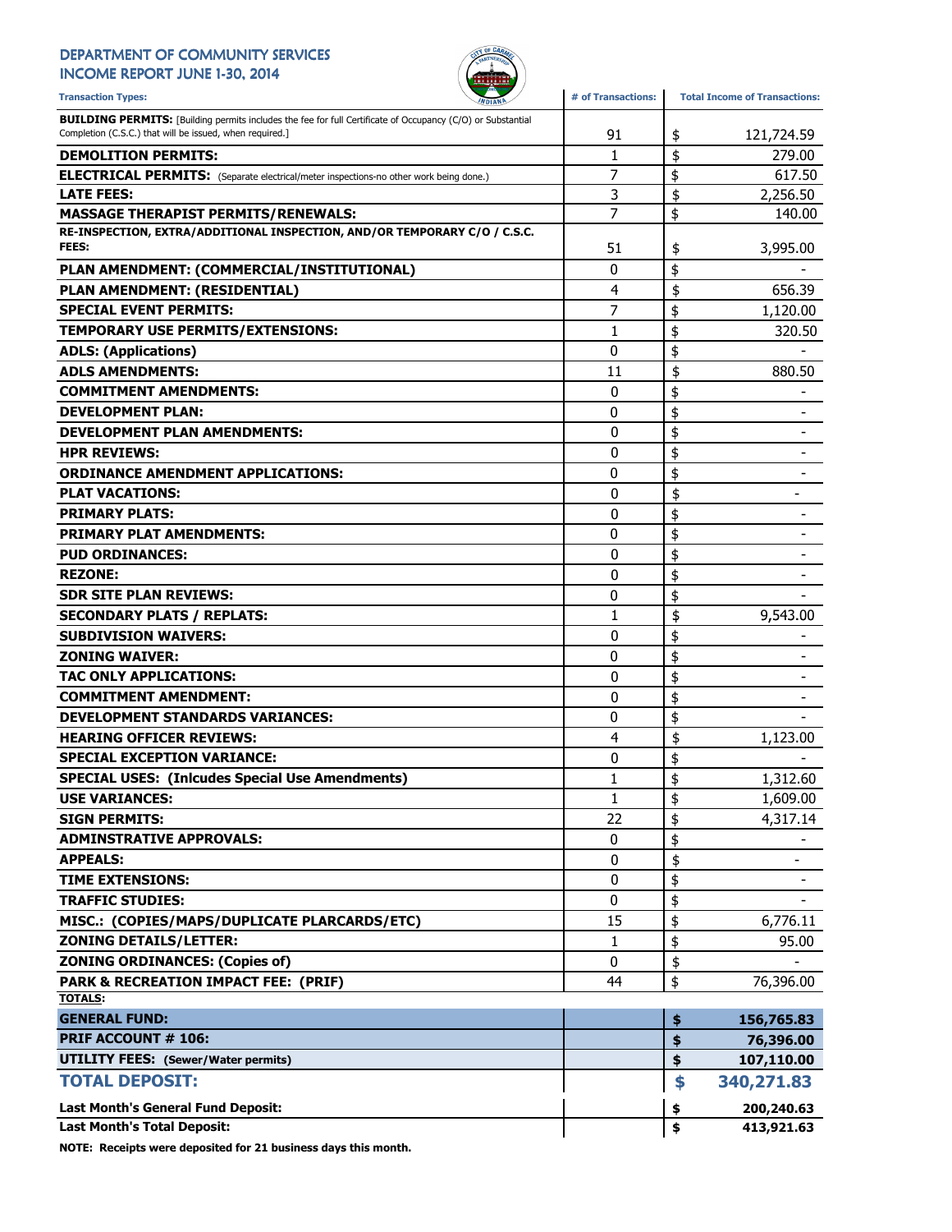#### DEPARTMENT OF COMMUNITY SERVICES INCOME REPORT JUNE 1-30, 2014



Transaction Types: **All any of Transactions**: **#** of Transactions: Total Income of Transactions: **BUILDING PERMITS:** [Building permits includes the fee for full Certificate of Occupancy (C/O) or Substantial Completion (C.S.C.) that will be issued, when required.] 91 91 121,724.59 **DEMOLITION PERMITS:** 279.00 ELECTRICAL PERMITS: (Separate electrical/meter inspections-no other work being done.) <br>
| 7 | \$ 617.50 LATE FEES: 3 2,256.50 \$ MASSAGE THERAPIST PERMITS/RENEWALS:  $\begin{array}{ccc} 1 & 7 & | \ \$ & 140.00 \end{array}$ RE-INSPECTION, EXTRA/ADDITIONAL INSPECTION, AND/OR TEMPORARY C/O / C.S.C. **FEES:** 3,995.00 \$ 3,995.00 \$ 3,995.00 \$ 51 \$ 3,995.00 PLAN AMENDMENT: (COMMERCIAL/INSTITUTIONAL) 0 \$ - PLAN AMENDMENT: (RESIDENTIAL) 88 (656.39 \$656.39 \$656.39 \$656.39 **SPECIAL EVENT PERMITS:**  $\begin{array}{ccc} 1 & 7 & | & 5 & 1,120.00 \\ 1 & 2 & | & 5 & 1,120.00 \\ 2 & 3 & | & 1,120.00 & 3.000 \\ 3 & 4 & | & 1,120.00 & 3.000 \\ 4 & 5 & | & 1,120.00 & 3.000 \\ 5 & 6 & | & 1,120.00 & 3.000 \\ 6 & 6 & | & 1,120.00 & 3.000 \\ 7 & 7 & 8 & | & 1,120.000$ TEMPORARY USE PERMITS/EXTENSIONS: 1 \$ 320.50 ADLS: (Applications)  $\begin{array}{ccc} 0 & \text{if } 0 & \text{if } 0 \end{array}$ ADLS AMENDMENTS: 11 880.50 COMMITMENT AMENDMENTS:  $\begin{array}{ccc} 0 & 1 \\ 0 & 1 \end{array}$ DEVELOPMENT PLAN:  $0 \qquad | \; \$$ DEVELOPMENT PLAN AMENDMENTS:  $\begin{array}{ccc} & & & \ & & \ & & \text{0} & \end{array}$ HPR REVIEWS:  $\begin{array}{ccc} & & & \text{ } & & \text{ } \\ \text{} & & \text{ } & \text{ } & \text{ } & \text{ } & \text{ } \end{array}$ ORDINANCE AMENDMENT APPLICATIONS:  $\begin{array}{ccc} 0 & \ {\color{red} \S} & \end{array}$ PLAT VACATIONS:  $\begin{array}{ccc} & & & \\\text{PLAT VACATIONS:} & & & \end{array}$ PRIMARY PLATS: 0 \$ - PRIMARY PLAT AMENDMENTS:  $\begin{array}{ccc} & & & & \ & & & \ & & & \ & & & 0 & \end{array}$ PUD ORDINANCES: 0 \$ - REZONE: the set of the set of the set of the set of the set of the set of the set of the set of the set of the set of the set of the set of the set of the set of the set of the set of the set of the set of the set of the SDR SITE PLAN REVIEWS: the contract of the contract of the contract of the contract of the contract of the contract of the contract of the contract of the contract of the contract of the contract of the contract of the con SECONDARY PLATS / REPLATS:  $\begin{array}{ccc} 1 & 1 & 1 \\ 9 & 9,543.00 \end{array}$ SUBDIVISION WAIVERS: 0 \$ - **ZONING WAIVER:**  $\begin{bmatrix} 0 & 1 \\ 0 & 1 \end{bmatrix}$   $\begin{bmatrix} 0 & 1 \\ 0 & 1 \end{bmatrix}$ TAC ONLY APPLICATIONS:  $\begin{array}{ccc} & & & & 0 & \ {\mathbb{S}} & & \ {\mathbb{S}} & & \ {\mathbb{S}} & & \ {\mathbb{S}} & & \end{array}$ COMMITMENT AMENDMENT:  $\begin{array}{ccc} 0 & 1 \\ 0 & 1 \end{array}$ DEVELOPMENT STANDARDS VARIANCES:  $\begin{array}{ccc} 0 & \ {\pm} & \ 0 & \ {\pm} & \end{array}$ HEARING OFFICER REVIEWS:  $\begin{array}{ccc} 4 & 4 \\ 4 & 5 \end{array}$  1,123.00 SPECIAL EXCEPTION VARIANCE: 0 \$ - SPECIAL USES: (Inlcudes Special Use Amendments)  $\begin{array}{ccc} 1 & 1 & 1 \\ 1 & 1 & 1 \end{array}$  1,312.60 USE VARIANCES:  $\begin{array}{ccc} 1 & 1 & 1 \\ 1 & 1 & 1 \end{array}$   $\begin{array}{ccc} 1,609.00 \\ 1,609.00 \\ \end{array}$ **SIGN PERMITS:**  $\begin{array}{ccc} 4,317.14 \\ -22 \end{array}$  4,317.14 ADMINSTRATIVE APPROVALS:  $\begin{array}{ccc} 0 & \ {\mathfrak{z}} & \ - & \end{array}$ APPEALS: the contract of the contract of the contract of the contract of the contract of the contract of the contract of the contract of the contract of the contract of the contract of the contract of the contract of the TIME EXTENSIONS: 0 \$ - TRAFFIC STUDIES: 0 \$ - MISC.: (COPIES/MAPS/DUPLICATE PLARCARDS/ETC)  $\parallel$  15  $\parallel$  \$ 6,776.11 **ZONING DETAILS/LETTER:** 1 \$ 95.00 ZONING ORDINANCES: (Copies of)  $\begin{array}{ccc} & & | & 0 & | \; \$ & & \; \end{array}$ **PARK & RECREATION IMPACT FEE: (PRIF)** 44 \$ 76,396.00 TOTALS: GENERAL FUND: \$ 156,765.83 PRIF ACCOUNT # 106: **\$ 76,396.00 \$ 76,396.00** UTILITY FEES: (Sewer/Water permits) and the set of the set of the set of the set of the set of the set of the set of the set of the set of the set of the set of the set of the set of the set of the set of the set of the se TOTAL DEPOSIT: \$ 340,271.83 Last Month's General Fund Deposit: \$ 200,240.63

Last Month's Total Deposit:  $\begin{array}{ccc} 1 & 3 & 413,921.63 \\ 4 & 413 & 413 \end{array}$ 

NOTE: Receipts were deposited for 21 business days this month.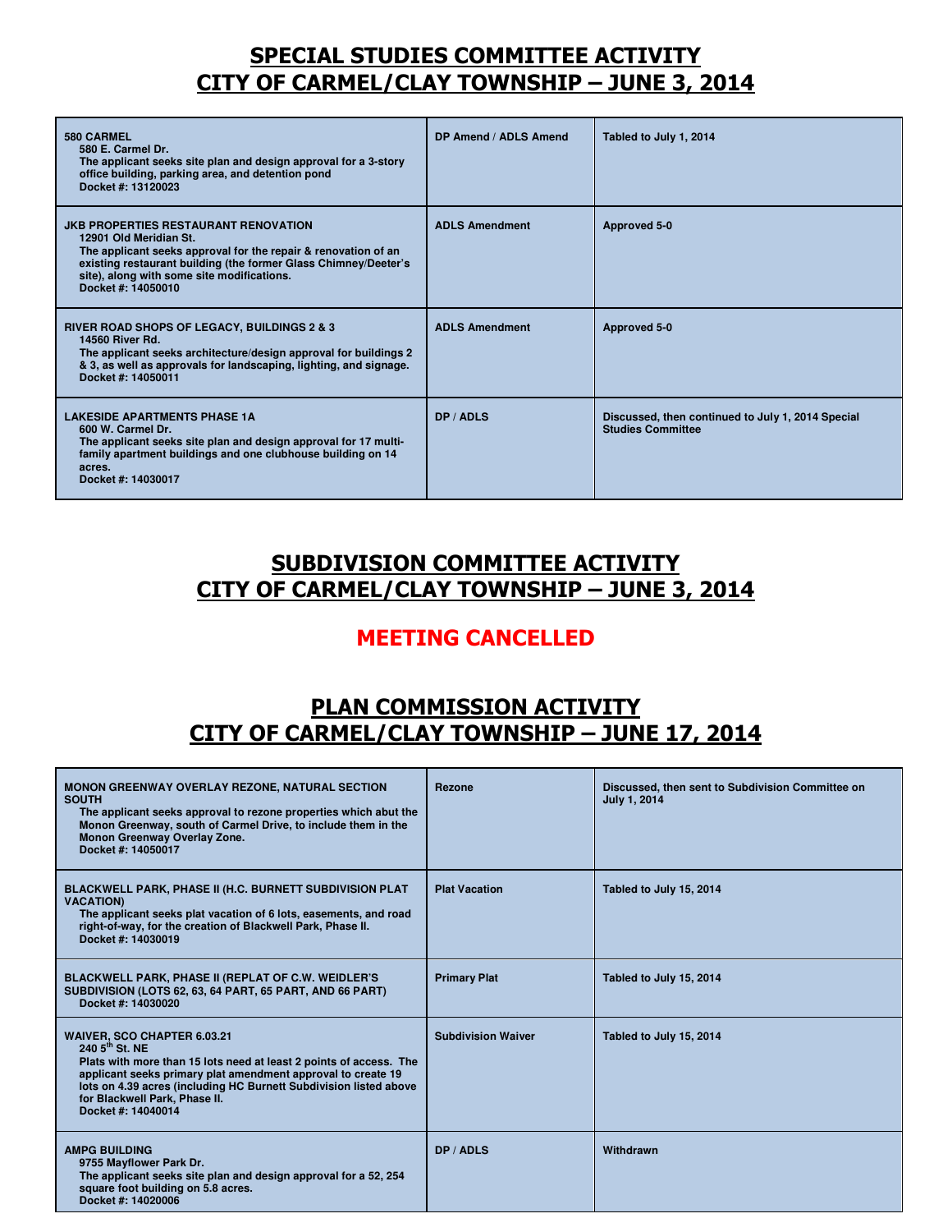#### SPECIAL STUDIES COMMITTEE ACTIVITY CITY OF CARMEL/CLAY TOWNSHIP – JUNE 3, 2014

| 580 CARMEL<br>580 E. Carmel Dr.<br>The applicant seeks site plan and design approval for a 3-story<br>office building, parking area, and detention pond<br>Docket #: 13120023                                                                                                  | DP Amend / ADLS Amend | Tabled to July 1, 2014                                                        |
|--------------------------------------------------------------------------------------------------------------------------------------------------------------------------------------------------------------------------------------------------------------------------------|-----------------------|-------------------------------------------------------------------------------|
| <b>JKB PROPERTIES RESTAURANT RENOVATION</b><br>12901 Old Meridian St.<br>The applicant seeks approval for the repair & renovation of an<br>existing restaurant building (the former Glass Chimney/Deeter's<br>site), along with some site modifications.<br>Docket #: 14050010 | <b>ADLS Amendment</b> | Approved 5-0                                                                  |
| <b>RIVER ROAD SHOPS OF LEGACY, BUILDINGS 2 &amp; 3</b><br>14560 River Rd.<br>The applicant seeks architecture/design approval for buildings 2<br>& 3, as well as approvals for landscaping, lighting, and signage.<br>Docket #: 14050011                                       | <b>ADLS Amendment</b> | Approved 5-0                                                                  |
| <b>LAKESIDE APARTMENTS PHASE 1A</b><br>600 W. Carmel Dr.<br>The applicant seeks site plan and design approval for 17 multi-<br>family apartment buildings and one clubhouse building on 14<br>acres.<br>Docket #: 14030017                                                     | DP / ADLS             | Discussed, then continued to July 1, 2014 Special<br><b>Studies Committee</b> |

### SUBDIVISION COMMITTEE ACTIVITY CITY OF CARMEL/CLAY TOWNSHIP – JUNE 3, 2014

#### MEETING CANCELLED

#### PLAN COMMISSION ACTIVITY CITY OF CARMEL/CLAY TOWNSHIP – JUNE 17, 2014

| <b>MONON GREENWAY OVERLAY REZONE, NATURAL SECTION</b><br><b>SOUTH</b><br>The applicant seeks approval to rezone properties which abut the<br>Monon Greenway, south of Carmel Drive, to include them in the<br>Monon Greenway Overlay Zone.<br>Docket #: 14050017                                                            | Rezone                    | Discussed, then sent to Subdivision Committee on<br><b>July 1, 2014</b> |
|-----------------------------------------------------------------------------------------------------------------------------------------------------------------------------------------------------------------------------------------------------------------------------------------------------------------------------|---------------------------|-------------------------------------------------------------------------|
| BLACKWELL PARK, PHASE II (H.C. BURNETT SUBDIVISION PLAT<br><b>VACATION)</b><br>The applicant seeks plat vacation of 6 lots, easements, and road<br>right-of-way, for the creation of Blackwell Park, Phase II.<br>Docket #: 14030019                                                                                        | <b>Plat Vacation</b>      | Tabled to July 15, 2014                                                 |
| <b>BLACKWELL PARK, PHASE II (REPLAT OF C.W. WEIDLER'S</b><br>SUBDIVISION (LOTS 62, 63, 64 PART, 65 PART, AND 66 PART)<br>Docket #: 14030020                                                                                                                                                                                 | <b>Primary Plat</b>       | Tabled to July 15, 2014                                                 |
| <b>WAIVER, SCO CHAPTER 6.03.21</b><br>240 $5^{th}$ St. NE<br>Plats with more than 15 lots need at least 2 points of access. The<br>applicant seeks primary plat amendment approval to create 19<br>lots on 4.39 acres (including HC Burnett Subdivision listed above<br>for Blackwell Park, Phase II.<br>Docket #: 14040014 | <b>Subdivision Waiver</b> | Tabled to July 15, 2014                                                 |
| <b>AMPG BUILDING</b><br>9755 Mayflower Park Dr.<br>The applicant seeks site plan and design approval for a 52, 254<br>square foot building on 5.8 acres.<br>Docket #: 14020006                                                                                                                                              | DP / ADLS                 | Withdrawn                                                               |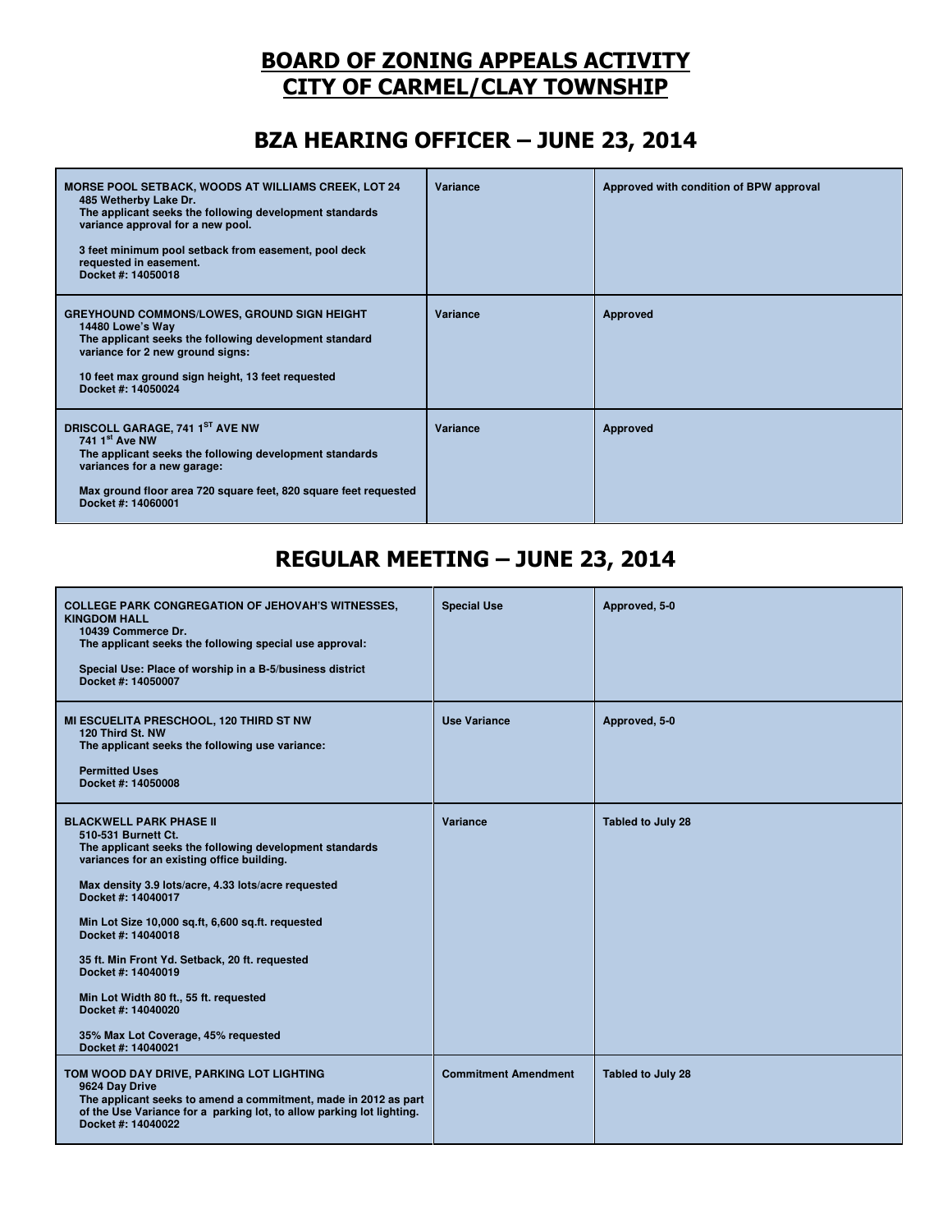### BOARD OF ZONING APPEALS ACTIVITY CITY OF CARMEL/CLAY TOWNSHIP

## BZA HEARING OFFICER – JUNE 23, 2014

| <b>MORSE POOL SETBACK, WOODS AT WILLIAMS CREEK, LOT 24</b><br>485 Wetherby Lake Dr.<br>The applicant seeks the following development standards<br>variance approval for a new pool.<br>3 feet minimum pool setback from easement, pool deck<br>requested in easement.<br>Docket #: 14050018 | Variance | Approved with condition of BPW approval |
|---------------------------------------------------------------------------------------------------------------------------------------------------------------------------------------------------------------------------------------------------------------------------------------------|----------|-----------------------------------------|
| <b>GREYHOUND COMMONS/LOWES, GROUND SIGN HEIGHT</b><br>14480 Lowe's Way<br>The applicant seeks the following development standard<br>variance for 2 new ground signs:<br>10 feet max ground sign height, 13 feet requested<br>Docket #: 14050024                                             | Variance | Approved                                |
| DRISCOLL GARAGE, 741 1ST AVE NW<br>741 $1st$ Ave NW<br>The applicant seeks the following development standards<br>variances for a new garage:<br>Max ground floor area 720 square feet, 820 square feet requested<br>Docket #: 14060001                                                     | Variance | Approved                                |

# REGULAR MEETING – JUNE 23, 2014

| <b>COLLEGE PARK CONGREGATION OF JEHOVAH'S WITNESSES,</b><br><b>KINGDOM HALL</b><br>10439 Commerce Dr.<br>The applicant seeks the following special use approval:<br>Special Use: Place of worship in a B-5/business district<br>Docket #: 14050007                                                                                                                                                                                                                                                                          | <b>Special Use</b>          | Approved, 5-0     |
|-----------------------------------------------------------------------------------------------------------------------------------------------------------------------------------------------------------------------------------------------------------------------------------------------------------------------------------------------------------------------------------------------------------------------------------------------------------------------------------------------------------------------------|-----------------------------|-------------------|
| MI ESCUELITA PRESCHOOL, 120 THIRD ST NW<br>120 Third St. NW<br>The applicant seeks the following use variance:<br><b>Permitted Uses</b><br>Docket #: 14050008                                                                                                                                                                                                                                                                                                                                                               | <b>Use Variance</b>         | Approved, 5-0     |
| <b>BLACKWELL PARK PHASE II</b><br>510-531 Burnett Ct.<br>The applicant seeks the following development standards<br>variances for an existing office building.<br>Max density 3.9 lots/acre, 4.33 lots/acre requested<br>Docket #: 14040017<br>Min Lot Size 10,000 sq.ft, 6,600 sq.ft. requested<br>Docket #: 14040018<br>35 ft. Min Front Yd. Setback, 20 ft. requested<br>Docket #: 14040019<br>Min Lot Width 80 ft., 55 ft. requested<br>Docket #: 14040020<br>35% Max Lot Coverage, 45% requested<br>Docket #: 14040021 | Variance                    | Tabled to July 28 |
| TOM WOOD DAY DRIVE, PARKING LOT LIGHTING<br>9624 Day Drive<br>The applicant seeks to amend a commitment, made in 2012 as part<br>of the Use Variance for a parking lot, to allow parking lot lighting.<br>Docket #: 14040022                                                                                                                                                                                                                                                                                                | <b>Commitment Amendment</b> | Tabled to July 28 |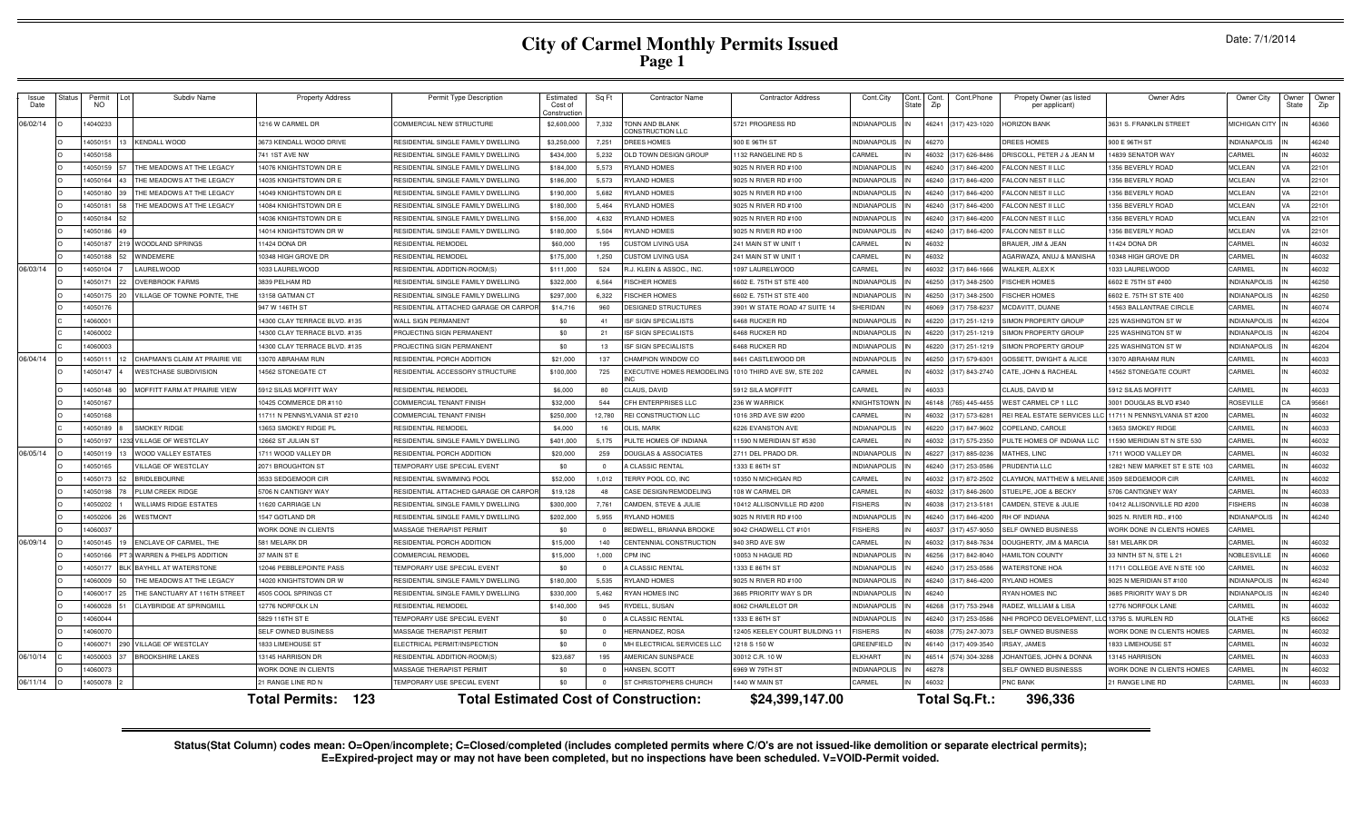# **City of Carmel Monthly Permits Issued Page 1**

| Issue<br>Date | Status | Permit<br>NO. | Subdiv Name                        | <b>Property Address</b>            | Permit Type Description                      | Estimated<br>Cost of<br>Constructio | Sq Ft    | <b>Contractor Name</b>            | <b>Contractor Address</b>      | Cont.City           | Cont.<br>Cont.Phone<br>Zip  | Propety Owner (as listed<br>per applicant) | Owner Adrs                               | Owner City          | Owner<br>State | Owner<br>Zip |
|---------------|--------|---------------|------------------------------------|------------------------------------|----------------------------------------------|-------------------------------------|----------|-----------------------------------|--------------------------------|---------------------|-----------------------------|--------------------------------------------|------------------------------------------|---------------------|----------------|--------------|
| 06/02/14      |        | 14040233      |                                    | 216 W CARMEL DR                    | COMMERCIAL NEW STRUCTURE                     | \$2,600,000                         | 7,332    | TONN AND BLANK<br>ONSTRUCTION LLC | 5721 PROGRESS RD               | NDIANAPOLIS         | 46241 (317) 423-1020        | <b>HORIZON BANK</b>                        | 631 S. FRANKLIN STREET                   | MICHIGAN CITY       |                | 46360        |
|               |        | 14050151      | <b>KENDALL WOOD</b>                | 673 KENDALL WOOD DRIVE             | RESIDENTIAL SINGLE FAMILY DWELLING           | \$3,250,000                         | 7,251    | <b>DREES HOMES</b>                | 00 E 96TH ST                   | NDIANAPOLIS         | 6270                        | REES HOMES                                 | 900 E 96TH ST                            | <b>INDIANAPOLIS</b> |                | 46240        |
|               |        | 14050158      |                                    | 41 1ST AVE NW                      | RESIDENTIAL SINGLE FAMILY DWELLING           | \$434,000                           | 5,232    | OLD TOWN DESIGN GROUP             | 132 RANGELINE RD S             | CARMEL              | 6032 (317) 626-8486         | RISCOLL, PETER J & JEAN M                  | 4839 SENATOR WAY                         | CARMEL              |                | 46032        |
|               |        | 14050159      | THE MEADOWS AT THE LEGACY          | 4076 KNIGHTSTOWN DR E              | RESIDENTIAL SINGLE FAMILY DWELLING           | \$184,000                           | 5.573    | RYLAND HOMES                      | 025 N RIVER RD #100            | NDIANAPOLIS         | 6240<br>(317) 846-4200      | ALCON NEST II LLC                          | 356 BEVERLY ROAD                         | <b>MCLEAN</b>       | <b>VA</b>      | 22101        |
|               |        | 14050164      | THE MEADOWS AT THE LEGACY          | 4035 KNIGHTSTOWN DR E              | RESIDENTIAL SINGLE FAMILY DWELLING           | \$186,000                           | 5,573    | RYLAND HOMES                      | 9025 N RIVER RD #100           | <b>INDIANAPOLIS</b> | 46240<br>(317) 846-4200     | ALCON NEST II LLC                          | 356 BEVERLY ROAD                         | <b>MCLEAN</b>       | <b>VA</b>      | 22101        |
|               |        | 14050180      | THE MEADOWS AT THE LEGACY          | 4049 KNIGHTSTOWN DR E              | RESIDENTIAL SINGLE FAMILY DWELLING           | \$190,000                           | 5.682    | RYLAND HOMES                      | 9025 N RIVER RD #100           | NDIANAPOLIS         | 46240 (317) 846-4200        | FALCON NEST II LLC                         | 356 BEVERLY ROAD                         | <b>MCLEAN</b>       | VA             | 22101        |
|               |        | 14050181      | THE MEADOWS AT THE LEGACY          | 4084 KNIGHTSTOWN DR E              | RESIDENTIAL SINGLE FAMILY DWELLING           | \$180,000                           | 5.464    | RYLAND HOMES                      | 9025 N RIVER RD #100           | <b>INDIANAPOLIS</b> | 46240<br>(317) 846-4200     | FALCON NEST II LLC                         | 1356 BEVERLY ROAD                        | <b>MCLEAN</b>       | <b>VA</b>      | 22101        |
|               |        | 14050184      |                                    | 4036 KNIGHTSTOWN DR E              | RESIDENTIAL SINGLE FAMILY DWELLING           | \$156,000                           | 4.632    | RYLAND HOMES                      | 9025 N RIVER RD #100           | NDIANAPOLIS         | (317) 846-4200<br>16240     | FALCON NEST II LLC                         | 356 BEVERLY ROAD                         | <b>MCLEAN</b>       | VA             | 22101        |
|               |        | 14050186      |                                    | 4014 KNIGHTSTOWN DR W              | RESIDENTIAL SINGLE FAMILY DWELLING           | \$180,000                           | 5,504    | RYLAND HOMES                      | 9025 N RIVER RD #100           | <b>INDIANAPOLIS</b> | 6240<br>(317) 846-4200      | FALCON NEST II LLC                         | 1356 BEVERLY ROAD                        | <b>MCLEAN</b>       | VA             | 22101        |
|               |        | 14050187      | WOODLAND SPRINGS                   | 1424 DONA DR                       | RESIDENTIAL REMODE                           | \$60,000                            | 195      | CUSTOM LIVING USA                 | 241 MAIN ST W UNIT             | CARMEL              | 6032                        | <b>BRAUER, JIM &amp; JEAN</b>              | 1424 DONA DR                             | CARMEL              |                | 46032        |
|               |        | 14050188      | WINDEMERE                          | 0348 HIGH GROVE DF                 | RESIDENTIAL REMODEI                          | \$175,000                           | 1.250    | CUSTOM LIVING USA                 | 241 MAIN ST W UNIT             | CARMEL              | 6032                        | GARWAZA, ANUJ & MANISHA                    | 0348 HIGH GROVE DI                       | CARMEL              |                | 46032        |
| 06/03/14      |        | 14050104      | <b>AURELWOOD</b>                   | 033 LAURELWOOD                     | RESIDENTIAL ADDITION-ROOM(S)                 | \$111,000                           | 524      | R.J. KLEIN & ASSOC., INC.         | 097 LAURELWOOD                 | CARMEL              | 317) 846-1666<br>6032       | VALKER, ALEXK                              | 033 LAURELWOOD                           | CARMEL              |                | 46032        |
|               |        | 14050171      | <b>OVERBROOK FARMS</b>             | 8839 PELHAM RD                     | RESIDENTIAL SINGLE FAMILY DWELLING           | \$322,000                           | 6.564    | <b>ISCHER HOMES</b>               | 602 E. 75TH ST STE 400         | NDIANAPOLIS         | 317) 348-2500<br>6250       | <b>ISCHER HOMES</b>                        | 602 E 75TH ST #400                       | <b>INDIANAPOLIS</b> |                | 46250        |
|               |        | 14050175      | <b>ILLAGE OF TOWNE POINTE, THE</b> | 3158 GATMAN CT                     | RESIDENTIAL SINGLE FAMILY DWELLING           | \$297,000                           | 6.322    | <b>FISCHER HOMES</b>              | 602 E. 75TH ST STE 400         | NDIANAPOLIS         | 6250<br>(317) 348-2500      | <b>ISCHER HOMES</b>                        | 602 E. 75TH ST STE 400                   | <b>INDIANAPOLIS</b> |                | 46250        |
|               |        | 14050176      |                                    | 947 W 146TH ST                     | RESIDENTIAL ATTACHED GARAGE OR CARPO         | \$14,716                            | 960      | DESIGNED STRUCTURES               | 3901 W STATE ROAD 47 SUITE 14  | HERIDAN             | (317) 758-6237<br>6069      | <b>MCDAVITT, DUANE</b>                     | 4563 BALLANTRAE CIRCLE                   | CARMEL              |                | 46074        |
|               |        | 14060001      |                                    | 4300 CLAY TERRACE BLVD. #135       | WALL SIGN PERMANENT                          | \$0                                 | 41       | <b>ISF SIGN SPECIALISTS</b>       | 6468 RUCKER RD                 | NDIANAPOLIS         | 46220 (317) 251-121         | <b>IMON PROPERTY GROUP</b>                 | 225 WASHINGTON ST W                      | <b>INDIANAPOLIS</b> |                | 46204        |
|               |        | 14060002      |                                    | 4300 CLAY TERRACE BLVD, #135       | PROJECTING SIGN PERMANENT                    | \$0                                 | 21       | <b>ISF SIGN SPECIALISTS</b>       | 6468 RUCKER RD                 | <b>INDIANAPOLIS</b> | $(317)$ 251-1219<br>16220 I | <b>IMON PROPERTY GROUP</b>                 | 225 WASHINGTON ST W                      | <b>INDIANAPOLIS</b> |                | 46204        |
|               |        | 14060003      |                                    | 4300 CLAY TERRACE BLVD. #135       | PROJECTING SIGN PERMANENT                    | \$0                                 | 13       | <b>ISF SIGN SPECIALISTS</b>       | 6468 BUCKER BD                 | <b>INDIANAPOLIS</b> | 46220 (317) 251-121         | <b>SIMON PROPERTY GROUP</b>                | 225 WASHINGTON ST W                      | <b>INDIANAPOLIS</b> |                | 46204        |
| 06/04/14      |        | 14050111      | CHAPMAN'S CLAIM AT PRAIRIE VIE     | 3070 ABRAHAM RUN                   | RESIDENTIAL PORCH ADDITION                   | \$21,000                            | 137      | CHAMPION WINDOW CO                | <b>8461 CASTLEWOOD DR</b>      | NDIANAPOLIS         | 6250<br>(317) 579-630       | GOSSETT, DWIGHT & ALICE                    | 3070 ABRAHAM RUN                         | CARMEL              |                | 46033        |
|               |        | 14050147      | <b>WESTCHASE SUBDIVISION</b>       | 4562 STONEGATE CT                  | RESIDENTIAL ACCESSORY STRUCTURE              | \$100,000                           | 725      | EXECUTIVE HOMES REMODELING        | 1010 THIRD AVE SW, STE 202     | CARMEL              | (317) 843-2740<br>6032      | CATE, JOHN & RACHEAL                       | 4562 STONEGATE COURT                     | CARMEL              |                | 46032        |
|               |        | 14050148      | MOFFITT FARM AT PRAIRIE VIEW       | 5912 SILAS MOFFITT WAY             | RESIDENTIAL REMODEI                          | \$6,000                             | 80       | CLAUS, DAVID                      | 5912 SILA MOFFIT               | CARMEL              | 16033                       | CLAUS, DAVID M                             | 5912 SILAS MOFFITT                       | CARMEL              |                | 46033        |
|               |        | 14050167      |                                    | 0425 COMMERCE DR #110              | COMMERCIAL TENANT FINISH                     | \$32,000                            | 544      | CFH ENTERPRISES LLC               | 236 W WARRICK                  | <b>INIGHTSTOWI</b>  | 46148<br>(765) 445-445      | <b>VEST CARMEL CP 1 LLC</b>                | 001 DOUGLAS BLVD #340                    | <b>ROSEVILLE</b>    | C.A            | 95661        |
|               |        | 14050168      |                                    | 1711 N PENNSYLVANIA ST #210        | COMMERCIAL TENANT FINISH                     | \$250,000                           | 12.780   | REI CONSTRUCTION LLC              | 016 3RD AVE SW #200            | <b>ARMEL</b>        | 317) 573-628<br>6032        | <b>REI REAL ESTATE SERVICES L</b>          | 1711 N PENNSYLVANIA ST #200              | CARMEL              |                | 46032        |
|               |        | 14050189      | <b>SMOKEY RIDGE</b>                | 3653 SMOKEY RIDGE PI               | <b>IFSIDENTIAL REMODE</b>                    | \$4,000                             | 16       | <b>OLIS, MARK</b>                 | 226 EVANSTON AVE               | NDIANAPOLIS         | 6220<br>317) 847-9602       | OPELAND, CAROLE                            | 3653 SMOKEY RIDGE                        | CARMEL              |                | 46033        |
|               |        | 14050197      | VILLAGE OF WESTCLAY                | 2662 ST JULIAN ST                  | RESIDENTIAL SINGLE FAMILY DWELLING           | \$401,000                           | 5 1 7 5  | PULTE HOMES OF INDIANA            | 1590 N MERIDIAN ST #530        | <b>ARMEL</b>        | 6032<br>317) 575-2350       | PULTE HOMES OF INDIANA LLC                 | 1590 MERIDIAN ST N STE 530               | CARMEL              |                | 46032        |
| 06/05/14      |        | 14050119      | <b>WOOD VALLEY ESTATES</b>         | 711 WOOD VALLEY DR                 | RESIDENTIAL PORCH ADDITION                   | \$20,000                            | 259      | DOUGLAS & ASSOCIATES              | 711 DEL PRADO DR               | NDIANAPOLIS         | 317) 885-0236<br>6227       | <b>MATHES, LINC</b>                        | 711 WOOD VALLEY DR                       | CARMEL              |                | 46032        |
|               |        | 14050165      | <b>ILLAGE OF WESTCLAY</b>          | 2071 BROUGHTON ST                  | <b>FEMPORARY USE SPECIAL EVENT</b>           | \$0                                 | $\Omega$ | A CLASSIC RENTAL                  | 333 E 86TH ST                  | NDIANAPOLIS         | 6240<br>(317) 253-0586      | RUDENTIA LLC                               | 2821 NEW MARKET ST E STE 103             | CARMEL              |                | 46032        |
|               |        | 14050173      | <b>BRIDLEBOURNE</b>                | <b>3533 SEDGEMOOR CIR</b>          | RESIDENTIAL SWIMMING POOL                    | \$52,000                            | 1,012    | TERRY POOL CO, INC                | 0350 N MICHIGAN RD             | CARMEL              | 317) 872-2502<br>6032       | LAYMON, MATTHEW & MELANI                   | <b>3509 SEDGEMOOR CIF</b>                | CARMEL              |                | 46032        |
|               |        | 14050198      | PLUM CREEK RIDGE                   | <b>5706 N CANTIGNY WAY</b>         | RESIDENTIAL ATTACHED GARAGE OR CARP          | \$19,128                            | 48       | CASE DESIGN/REMODELING            | 108 W CARMEL DR                | CARMEL              | (317) 846-2600<br>6032      | STUELPE, JOE & BECKY                       | <b>5706 CANTIGNEY WAY</b>                | CARMEL              |                | 46033        |
|               |        | 14050202      | <b>WILLIAMS RIDGE ESTATES</b>      | 1620 CARRIAGE LN                   | RESIDENTIAL SINGLE FAMILY DWELLING           | \$300,000                           | 7,761    | CAMDEN, STEVE & JULIE             | 10412 ALLISONVILLE RD #200     | <b>FISHERS</b>      | 16038<br>(317) 213-5181     | CAMDEN, STEVE & JULIE                      | 10412 ALLISONVILLE RD #200               | <b>FISHERS</b>      |                | 46038        |
|               |        | 14050206      | <b>WESTMONT</b>                    | 547 GOTLAND DR                     | RESIDENTIAL SINGLE FAMILY DWELLING           | \$202,000                           | 5,955    | RYLAND HOMES                      | 9025 N RIVER RD #100           | <b>INDIANAPOLIS</b> | 46240 (317) 846-4200        | RH OF INDIANA                              | 025 N. RIVER RD., #100                   | <b>INDIANAPOLIS</b> |                | 46240        |
|               |        | 14060037      |                                    | WORK DONE IN CLIENTS               | MASSAGE THERAPIST PERMIT                     | \$0                                 | $\Omega$ | BEDWELL, BRIANNA BROOKE           | 9042 CHADWELL CT #101          | <b>FISHERS</b>      | 16037<br>(317) 457-9050     | SELF OWNED BUSINESS                        | <b><i>NORK DONE IN CLIENTS HOMES</i></b> | CARMEL              |                |              |
| 06/09/14      |        | 14050145      | ENCLAVE OF CARMEL, THE             | 581 MELARK DR                      | RESIDENTIAL PORCH ADDITION                   | \$15,000                            | 140      | CENTENNIAL CONSTRUCTION           | 940 3RD AVE SW                 | CARMEL              | 16032<br>(317) 848-7634     | DOUGHERTY, JIM & MARCIA                    | <b>81 MELARK DR</b>                      | CARMEL              |                | 46032        |
|               |        | 14050166      | WARREN & PHELPS ADDITION           | 7 MAIN ST E                        | COMMERCIAL REMODE                            | \$15,000                            | 1,000    | CPM INC                           | 0053 N HAGUE RI                | NDIANAPOLIS         | 6256 (317) 842-8040         | <b>IAMILTON COUNTY</b>                     | 33 NINTH ST N, STE L 21                  | NOBLESVILLE         |                | 46060        |
|               |        | 14050177      | <b>BAYHILL AT WATERSTONE</b>       | 2046 PEBBLEPOINTE PASS             | TEMPORARY USE SPECIAL EVENT                  | \$0                                 | $\Omega$ | A CLASSIC RENTAL                  | 333 E 86TH ST                  | NDIANAPOLIS         | 6240 (317) 253-0586         | <b>VATERSTONE HOA</b>                      | 1711 COLLEGE AVE N STE 100               | CARMEL              |                | 46032        |
|               |        | 14060009      | THE MEADOWS AT THE LEGACY          | 4020 KNIGHTSTOWN DR W              | RESIDENTIAL SINGLE FAMILY DWELLING           | \$180,000                           | 5.535    | <b>RYLAND HOMES</b>               | 9025 N RIVER RD #100           | NDIANAPOLIS         | 46240<br>(317) 846-4200     | <b>RYLAND HOMES</b>                        | 9025 N MERIDIAN ST #100                  | <b>INDIANAPOLIS</b> |                | 46240        |
|               |        | 14060017      | THE SANCTUARY AT 116TH STREET      | <b>1505 COOL SPRINGS CT</b>        | RESIDENTIAL SINGLE FAMILY DWELLING           | \$330,000                           | 5.462    | RYAN HOMES INC                    | 3685 PRIORITY WAY S DR         | <b>NDIANAPOLIS</b>  | 6240                        | <b>RYAN HOMES INC</b>                      | 685 PRIORITY WAY S DR                    | <b>INDIANAPOLIS</b> |                | 46240        |
|               |        | 14060028      | CLAYBRIDGE AT SPRINGMILL           | 2776 NORFOLK LN                    | RESIDENTIAL REMODE                           | \$140,000                           | 945      | RYDELL, SUSAN                     | 8062 CHARLELOT DR              | NDIANAPOLIS         | (317) 753-2948<br>16268     | RADEZ, WILLIAM & LISA                      | 12776 NORFOLK LANE                       | CARMEL              |                | 46032        |
|               |        | 14060044      |                                    | 5829 116TH ST E                    | TEMPORARY USE SPECIAL EVENT                  | \$0                                 | $\Omega$ | A CLASSIC RENTAL                  | 1333 E 86TH ST                 | NDIANAPOLIS         | (317) 253-0586<br>16240     | <b>IHI PROPCO DEVELOPMENT.</b>             | 13795 S. MURLEN RD                       | OI ATHE             | KS             | 66062        |
|               |        | 14060070      |                                    | SELF OWNED BUSINESS                | MASSAGE THERAPIST PERMI                      | \$0                                 | $\Omega$ | HERNANDEZ, ROSA                   | 12405 KEELEY COURT BUILDING 11 | <b>ISHERS</b>       | 775) 247-307<br>16038       | SELF OWNED BUSINESS                        | VORK DONE IN CLIENTS HOMES               | CARMEL              |                | 46032        |
|               |        | 1406007       | VILLAGE OF WESTCLAY                | 833 LIMEHOUSE ST                   | ELECTRICAL PERMIT/INSPECTION                 | \$0                                 | $\Omega$ | MH ELECTRICAL SERVICES LLC        | 1218 S 150 W                   | GREENFIELD          | 16140<br>(317) 409-354      | RSAY, JAMES                                | 833 LIMEHOUSE ST                         | CARMEL              |                | 46032        |
| 06/10/14      |        | 14050003      | <b>BROOKSHIRE LAKES</b>            | 3145 HARRISON DR                   | RESIDENTIAL ADDITION-ROOM(S                  | \$23,687                            | 195      | AMERICAN SUNSPACE                 | 30012 C.R. 10 W                | <b>LKHART</b>       | 16514<br>(574) 304-3288     | OHANTGES, JOHN & DONN/                     | 3145 HARRISON                            | CARMEL              |                | 46033        |
|               |        | 14060073      |                                    | <b><i>NORK DONE IN CLIENTS</i></b> | MASSAGE THERAPIST PERMIT                     | \$0                                 |          | HANSEN, SCOTT                     | 6969 W 79TH ST                 | NDIANAPOLIS         | 16278                       | SELF OWNED BUSINESSS                       | VORK DONE IN CLIENTS HOMES               | CARMEL              |                | 46032        |
| 06/11/14      |        | 14050078      |                                    | 1 RANGE LINE RD N                  | TEMPORARY USE SPECIAL EVENT                  | \$0                                 |          | ST CHRISTOPHERS CHURCH            | 1440 W MAIN ST                 | CARMEL              |                             | <b>NC BANK</b>                             | 1 RANGE LINE RD                          | CARMEL              |                | 46033        |
|               |        |               |                                    | 123<br><b>Total Permits:</b>       | <b>Total Estimated Cost of Construction:</b> |                                     |          |                                   | \$24,399,147.00                |                     | Total Sq.Ft.:               | 396,336                                    |                                          |                     |                |              |

Status(Stat Column) codes mean: O=Open/incomplete; C=Closed/completed (includes completed permits where C/O's are not issued-like demolition or separate electrical permits);<br>E=Expired-project may or may not have been compl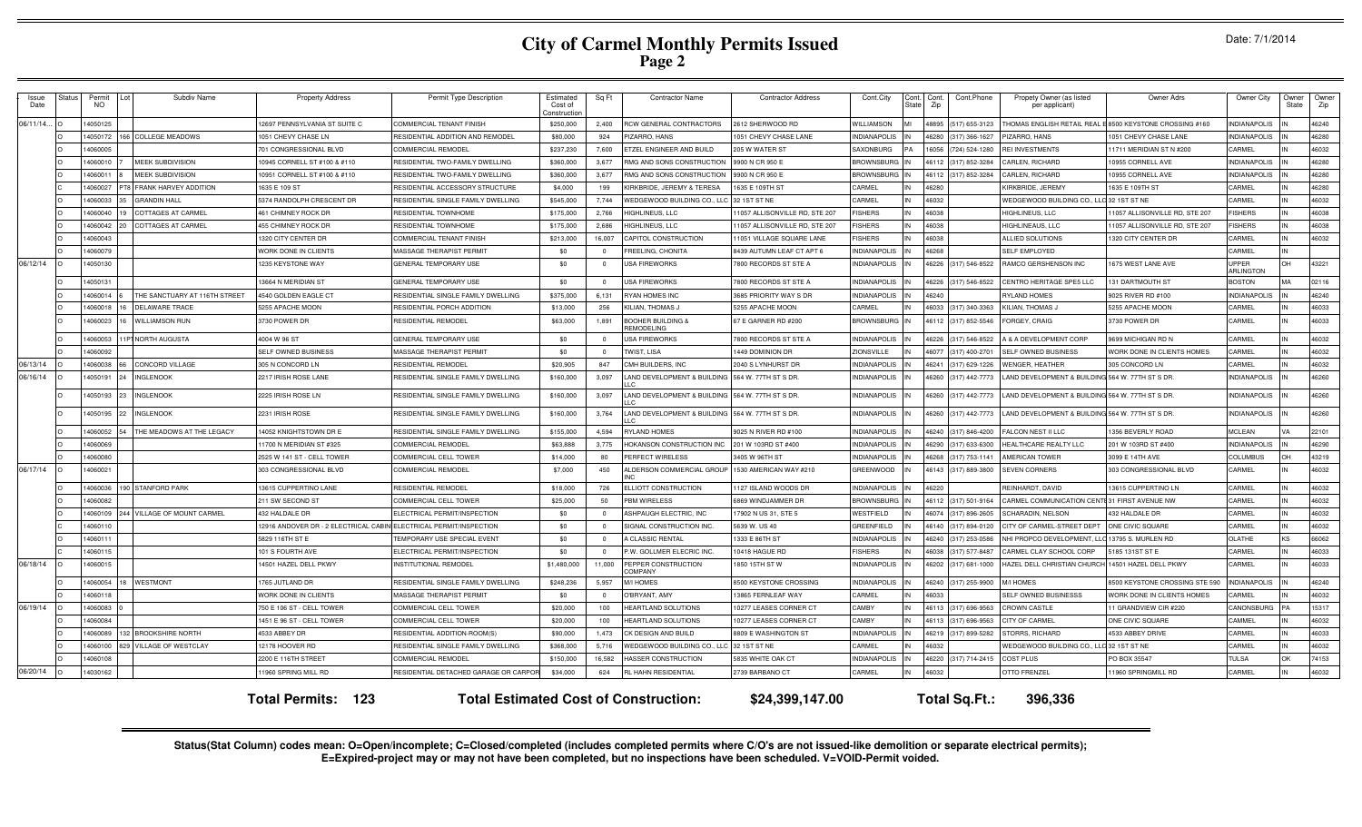# **City of Carmel Monthly Permits Issued Page 2**

| Issue<br>Date | <b>Status</b> | Permit<br>NO.        |     | Subdiv Name                   | <b>Property Address</b>                | Permit Type Description                                               | Estimated<br>Cost of<br>onstructio | Sq Ft             | <b>Contractor Name</b>             | <b>Contractor Address</b>                          | Cont.City                                  | State | Cont. Cont.<br>Zip | Cont.Phone           | Propety Owner (as listed<br>per applicant)      | Owner Adrs                                                   | Owner City                 | Owner<br>State | Owner<br>Zip   |
|---------------|---------------|----------------------|-----|-------------------------------|----------------------------------------|-----------------------------------------------------------------------|------------------------------------|-------------------|------------------------------------|----------------------------------------------------|--------------------------------------------|-------|--------------------|----------------------|-------------------------------------------------|--------------------------------------------------------------|----------------------------|----------------|----------------|
| 06/11/14      |               | 14050125             |     |                               | 2697 PENNSYLVANIA ST SUITE C           | COMMERCIAL TENANT FINISH                                              | \$250,000                          | 2.400             | RCW GENERAL CONTRACTORS            | <b>2612 SHERWOOD RD</b>                            | WILLIAMSON                                 |       | 48895              | (517) 655-3123       | HOMAS ENGLISH RETAIL REAL                       | 8500 KEYSTONE CROSSING #160                                  | NDIANAPOLIS                |                | 46240          |
|               |               | 14050172             | 166 | <b>COLLEGE MEADOWS</b>        | 051 CHEVY CHASE LN                     | RESIDENTIAL ADDITION AND REMODEI                                      | \$80,000                           | 924               | PIZARRO, HANS                      | 051 CHEVY CHASE LANE                               | INDIANAPOLIS                               |       | 46280              | (317) 366-1627       | <b>PIZARRO, HANS</b>                            | 1051 CHEVY CHASE LANE                                        | NDIANAPOLIS                |                | 46280          |
|               |               | 4060005              |     |                               | '01 CONGRESSIONAL BLVD                 | COMMERCIAL REMODEI                                                    | \$237,230                          | 7,600             | ETZEL ENGINEER AND BUILD           | 205 W WATER ST                                     | SAXONBURG                                  |       | 6056               | (724) 524-1280       | <b>REI INVESTMENTS</b>                          | 1711 MERIDIAN ST N #200                                      | CARMEI                     |                | 46032          |
|               |               | 14060010             |     | <b>MEEK SUBDIVISION</b>       | 0945 CORNELL ST #100 & #110            | RESIDENTIAL TWO-FAMILY DWELLING                                       | \$360,000                          | 3.677             | RMG AND SONS CONSTRUCTION          | 9900 N CR 950 E                                    | <b>RROWNSBURG</b>                          |       | 46112              | (317) 852-3284       | ARLEN, RICHARD                                  | 10955 CORNELL AVE                                            | INDIANAPOLIS               |                | 46280          |
|               |               | 14060011             |     | <b>MEEK SUBDIVISION</b>       | 0951 CORNELL ST #100 & #110            | RESIDENTIAL TWO-FAMILY DWELLING                                       | \$360,000                          | 3,677             | RMG AND SONS CONSTRUCTION          | 9900 N CR 950 E                                    | <b>BROWNSBURG</b>                          |       | 46112              | (317) 852-3284       | <b>CARLEN, RICHARD</b>                          | 0955 CORNELL AVE                                             | <b>NDIANAPOLIS</b>         |                | 46280          |
|               |               | 14060027             |     | T8 FRANK HARVEY ADDITION      | 1635 E 109 ST                          | RESIDENTIAL ACCESSORY STRUCTUR                                        | \$4,000                            | 199               | KIRKBRIDE, JEREMY & TERESA         | 635 E 109TH ST                                     | CARMEL                                     |       | 46280              |                      | KIRKBRIDE, JEREMY                               | 1635 E 109TH ST                                              | CARMEL                     |                | 46280          |
|               |               | 14060033             |     | <b>GRANDIN HALL</b>           | 5374 RANDOLPH CRESCENT DR              | RESIDENTIAL SINGLE FAMILY DWELLING                                    | \$545,000                          | 7.744             | <b>NEDGEWOOD BUILDING CO., LL</b>  | 32 1 ST ST NE                                      | CARMEL                                     |       | 46032              |                      | WEDGEWOOD BUILDING CO.,                         | 32 1ST ST NE                                                 | CARMEL                     |                | 46032          |
|               |               | 14060040             |     | <b>COTTAGES AT CARMEL</b>     | 461 CHIMNEY ROCK DR                    | RESIDENTIAI TOWNHOMI                                                  | \$175,000                          | 2.766             | HIGHLINEUS, LLC                    | 1057 ALLISONVILLE RD, STE 207                      | <b>FISHERS</b>                             |       | 46038              |                      | HIGHLINEUS, LLC                                 | 1057 ALLISONVILLE RD, STE 207                                | <b>FISHERS</b>             |                | 46038          |
|               |               | 14060042             |     | <b>COTTAGES AT CARMEI</b>     | 455 CHIMNEY ROCK DR                    | RESIDENTIAL TOWNHOME                                                  | \$175,000                          | 2,686             | <b>HIGHLINEUS, LLC</b>             | 1057 ALLISONVILLE RD, STE 207                      | <b>ISHERS</b>                              |       | 46038              |                      | HIGHLINEAUS, LLC                                | 1057 ALLISONVILLE RD, STE 207                                | <b>ISHERS</b>              |                | 46038          |
|               |               | 14060043             |     |                               | 1320 CITY CENTER DF                    | COMMERCIAL TENANT FINISH                                              | \$213,000                          | 16.007            | CAPITOL CONSTRUCTION               | 1051 VILLAGE SQUARE LANE                           | <b>FISHERS</b>                             |       | 46038              |                      | ALLIED SOLUTIONS                                | 1320 CITY CENTER DF                                          | CARMEL                     |                | 46032          |
|               |               | 406007               |     |                               | <b><i>NORK DONE IN CLIENTS</i></b>     | <b>MASSAGE THERAPIST PERMIT</b>                                       | \$0                                | $\overline{0}$    | FREELING, CHONIT/                  | 8439 AUTUMN LEAF CT APT 6                          | <b>INDIANAPOLIS</b>                        |       | 46268              |                      | SELF EMPLOYED                                   |                                                              | CARMEL                     |                |                |
| 06/12/14      |               | 14050130             |     |                               | 235 KEYSTONE WAY                       | <b>GENERAL TEMPORARY USE</b>                                          | \$0                                | $\mathbf{0}$      | USA FIREWORKS                      | 800 RECORDS ST STE A                               | NDIANAPOLIS                                |       | 46226              | (317) 546-8522       | RAMCO GERSHENSON INC                            | 675 WEST LANE AVE                                            | <b>JPPFF</b><br>ARI INGTON |                | 43221          |
|               |               | 14050131             |     |                               | 13664 N MERIDIAN ST                    | GENERAL TEMPORARY USE                                                 | \$0                                | $\circ$           | <b>USA FIREWORKS</b>               | 7800 RECORDS ST STE A                              | <b>INDIANAPOLIS</b>                        |       | 46226              | (317) 546-8522       | CENTRO HERITAGE SPE5 LLC                        | 131 DARTMOUTH ST                                             | <b>BOSTON</b>              | MA             | 02116          |
|               |               | 14060014             |     | THE SANCTUARY AT 116TH STREET | 4540 GOLDEN EAGLE CT                   | RESIDENTIAL SINGLE FAMILY DWELLING                                    | \$375,000                          | 6.131             | <b>RYAN HOMES INC</b>              | 3685 PRIORITY WAY S DR                             | <b>INDIANAPOLIS</b>                        |       | 46240              |                      | RYLAND HOMES                                    | 9025 RIVER RD #100                                           | <b>INDIANAPOLIS</b>        |                | 46240          |
|               |               | 14060018             |     | <b>DELAWARE TRACE</b>         | 5255 APACHE MOON                       | RESIDENTIAL PORCH ADDITION                                            | \$13,000                           | 256               | KILIAN. THOMAS J                   | 5255 APACHE MOON                                   | CARMEL                                     |       | 46033              | (317) 340-3363       | KILIAN, THOMAS,                                 | 5255 APACHE MOON                                             | CARMEL                     |                | 46033          |
|               |               | 14060023             |     | <b>WILLIAMSON RUN</b>         | 3730 POWER DR                          | RESIDENTIAL REMODEL                                                   | \$63,000                           | 1,891             | BOOHER BUILDING &<br>REMODELING    | 37 E GARNER RD #200                                | <b>BROWNSBURG</b>                          |       | 46112              | (317) 852-5546       | ORGEY, CRAIG                                    | 3730 POWER DR                                                | CARMEL                     |                | 46033          |
|               |               | 14060053             |     | IPT NORTH AUGUSTA             | 4004 W 96 ST                           | GENERAL TEMPORARY USE                                                 | \$0                                | $\Omega$          | <b>USA FIREWORKS</b>               | 7800 RECORDS ST STE A                              | <b>INDIANAPOLIS</b>                        |       | 46226              | (317) 546-8522       | <b>A &amp; A DEVELOPMENT CORP</b>               | 9699 MICHIGAN RD N                                           | CARMEL                     |                | 46032          |
|               |               | 14060092             |     |                               | SELF OWNED BUSINESS                    | MASSAGE THERAPIST PERMIT                                              | \$0                                | $\mathbf{0}$      | TWIST, LISA                        | 449 DOMINION DR                                    | ZIONSVILLE                                 |       | 16077              | (317) 400-270        | <b>SELF OWNED BUSINESS</b>                      | WORK DONE IN CLIENTS HOMES                                   | CARMEL                     |                | 46032          |
| 06/13/14      |               | 14060038             |     | <b>CONCORD VILLAGE</b>        | 305 N CONCORD LN                       | RESIDENTIAL REMODEI                                                   | \$20,905                           | 847               | CMH BUILDERS, INC                  | 2040 S LYNHURST DR                                 | <b>INDIANAPOLIS</b>                        |       | 46241              | (317) 629-1226       | <b>WENGER, HEATHER</b>                          | 305 CONCORD LN                                               | CARMEL                     |                | 46032          |
| 06/16/14      |               | 14050191             |     | <b>INGLENOOK</b>              | 2217 IRISH ROSE LANE                   | RESIDENTIAL SINGLE FAMILY DWELLING                                    | \$160,000                          | 3,097             | AND DEVELOPMENT & BUILDING         | 564 W. 77TH ST S DR                                | NDIANAPOLIS                                |       | 16260              | (317) 442-7773       | AND DEVELOPMENT & BUILDING                      | 564 W. 77TH ST S DR                                          | NDIANAPOLIS                |                | 46260          |
|               |               | 14050193             | 23  | <b>INGLENOOK</b>              | 2225 IRISH ROSE LN                     | RESIDENTIAL SINGLE FAMILY DWELLING                                    | \$160,000                          | 3,097             | LAND DEVELOPMENT & BUILDING        | 564 W. 77TH ST S DR                                | <b>INDIANAPOLIS</b>                        |       |                    | 46260 (317) 442-7773 | LAND DEVELOPMENT & BUILDING 564 W. 77TH ST S DR |                                                              | <b>INDIANAPOLIS</b>        |                | 46260          |
|               |               | 14050195             |     | <b>INGLENOOK</b>              | 2231 IRISH ROSE                        | RESIDENTIAL SINGLE FAMILY DWELLING                                    | \$160,000                          | 3,764             | LAND DEVELOPMENT & BUILDING        | 564 W. 77TH ST S DR                                | <b>INDIANAPOLIS</b>                        |       | 46260              | (317) 442-7773       | AND DEVELOPMENT & BUILDING 564 W. 77TH ST S DR  |                                                              | NDIANAPOLIS                |                | 46260          |
|               |               | 4060052              |     | THE MEADOWS AT THE LEGACY     | 4052 KNIGHTSTOWN DR E                  | RESIDENTIAL SINGLE FAMILY DWELLING                                    | \$155,000                          | 4.594             | <b>RYLAND HOMES</b>                | 025 N RIVER RD #100                                | <b>INDIANAPOLIS</b>                        |       | 46240              | (317) 846-4200       | ALCON NEST II LLC                               | 356 BEVERLY ROAD                                             | MCLEAN                     |                | 22101          |
|               |               | 2000001              |     |                               | 1700 N MERIDIAN ST #325                | OMMERCIAL REMODEL                                                     | \$63,888                           | 3.775             | <b>IOKANSON CONSTRUCTION INC</b>   | 201 W 103RD ST #400                                | <b>INDIANAPOLIS</b>                        |       | 16290              | (317) 633-6300       | <b>IEALTHCARE REALTY LLC</b>                    | 201 W 103RD ST #400                                          | NDIANAPOLIS                |                | 46290          |
|               |               | 14060080             |     |                               | 2525 W 141 ST - CELL TOWER             | COMMERCIAL CELL TOWER                                                 | \$14,000                           | 80 <sub>1</sub>   | PERFECT WIRELESS                   | 405 W 96TH ST                                      | <b>INDIANAPOLIS</b>                        |       | 46268              | $(317) 753 - 1141$   | AMERICAN TOWER                                  | 3099 E 14TH AVE                                              | COLUMBUS                   |                | 43219          |
| 06/17/14      |               | 14060021             |     |                               | 303 CONGRESSIONAL BLVD                 | COMMERCIAL REMODEL                                                    | \$7,000                            | 450               | ALDERSON COMMERCIAL GROUP          | 1530 AMERICAN WAY #210                             | GREENWOOD                                  |       |                    | 46143 (317) 889-3800 | <b>SEVEN CORNERS</b>                            | 303 CONGRESSIONAL BLVD                                       | CARMEL                     |                | 46032          |
|               |               | 14060036             |     | 90 STANFORD PARK              | 13615 CUPPERTINO LANE                  | RESIDENTIAL REMODEL                                                   | \$18,000                           | 726               | ELLIOTT CONSTRUCTION               | 127 ISLAND WOODS DR                                | <b>INDIANAPOLIS</b>                        |       | 46220              |                      | REINHARDT, DAVID                                | 13615 CUPPERTINO LN                                          | CARMEL                     |                | 46032          |
|               |               | 14060082             |     |                               | 211 SW SECOND ST                       | COMMERCIAL CELL TOWER                                                 | \$25,000                           | 50                | PBM WIRELESS                       | 869 WINDJAMMER DR                                  | <b>BROWNSBURG</b>                          |       | 46112              | (317) 501-9164       | CARMEL COMMUNICATION CEN                        | 31 FIRST AVENUE NW                                           | CARMEL                     |                | 46032          |
|               |               | 14060109             |     | 244 VILLAGE OF MOUNT CARMEL   | 432 HALDALE DR                         | ELECTRICAL PERMIT/INSPECTION                                          | \$0                                | $\Omega$          | ASHPAUGH ELECTRIC, INC             | 7902 N US 31, STE 5                                | WESTFIELD                                  |       | 46074<br>46140     | (317) 896-2605       | SCHARADIN, NELSON                               | 432 HALDALE DR                                               | CARMEL<br>CARMEL           |                | 46032          |
|               |               | 14060110             |     |                               | 12916 ANDOVER DR - 2 ELECTRICAL CABII  | ELECTRICAL PERMIT/INSPECTION                                          | \$0                                | $\overline{0}$    | SIGNAL CONSTRUCTION INC.           | 639 W. US 40                                       | GREENFIELD                                 |       |                    | (317) 894-0120       | CITY OF CARMEL-STREET DEP                       | ONE CIVIC SQUARE                                             |                            |                | 46032          |
|               |               | 1406011              |     |                               | 5829 116TH ST E                        | <b>FEMPORARY USE SPECIAL EVENT</b>                                    | \$0                                | $\Omega$          | A CLASSIC RENTAL                   | 1333 E 86TH ST                                     | <b>INDIANAPOLIS</b>                        |       | 46240              | (317) 253-0586       | VHI PROPCO DEVELOPMENT,                         | 13795 S. MURLEN RD                                           | OLATHE<br>CARMEL           | KS.            | 66062          |
|               |               | 14060115             |     |                               | 101 S FOURTH AVE                       | ELECTRICAL PERMIT/INSPECTION                                          | \$0                                | $\Omega$          | P.W. GOLLMER ELECRIC INC           | 10418 HAGUE RD                                     | <b>FISHERS</b>                             |       | 46038              | (317) 577-8487       | ARMEL CLAY SCHOOL CORP                          | 185 131ST ST E                                               | CARMEL                     |                | 46033          |
| 06/18/14      |               | 14060015             |     | WESTMONT                      | 4501 HAZEL DELL PKWY                   | <b>INSTITUTIONAL REMODEL</b>                                          | \$1,480,000                        | 11,000            | PEPPER CONSTRUCTION<br>COMPANY     | 850 15TH ST W                                      | <b>INDIANAPOLIS</b><br><b>INDIANAPOLIS</b> |       | 16202              | (317) 681-1000       | HAZEL DELL CHRISTIAN CHURC                      | 4501 HAZEL DELL PKWY                                         | <b>INDIANAPOLIS</b>        |                | 46033<br>46240 |
|               |               | 14060054<br>14060118 |     |                               | 765 JUTLAND DR<br>WORK DONE IN CLIENTS | RESIDENTIAL SINGLE FAMILY DWELLING<br><b>MASSAGE THERAPIST PERMIT</b> | \$248,236<br>\$0                   | 5,957<br>$\Omega$ | M/I HOMES<br><b>O'BRYANT, AMY</b>  | <b>8500 KEYSTONE CROSSING</b><br>3865 FERNLEAF WAY | CARMEL                                     |       | 46240<br>46033     | (317) 255-9900       | <b>M/I HOMES</b><br>SELF OWNED BUSINESSS        | 8500 KEYSTONE CROSSING STE 590<br>WORK DONE IN CLIENTS HOMES | CARMEL                     |                | 46032          |
| 06/19/14      |               |                      |     |                               |                                        |                                                                       |                                    |                   |                                    |                                                    |                                            |       |                    |                      |                                                 |                                                              |                            | PA             | 15317          |
|               |               | 14060083             |     |                               | 750 E 106 ST - CELL TOWER              | COMMERCIAL CELL TOWER                                                 | \$20,000                           | 100               | HEARTLAND SOLUTIONS                | 0277 LEASES CORNER CT                              | CAMBY                                      |       |                    | 46113 (317) 696-9563 | <b>CROWN CASTLE</b>                             | 1 GRANDVIEW CIR #220                                         | CANONSBURG                 |                |                |
|               |               | 14060084             |     |                               | 1451 E 96 ST - CELL TOWER              | COMMERCIAL CELL TOWER                                                 | \$20,000                           | 100               | HEARTLAND SOLUTIONS                | 0277 LEASES CORNER CT                              | CAMBY                                      |       |                    | 46113 (317) 696-9563 | CITY OF CARMEL                                  | ONE CIVIC SQUARE                                             | CAMMEL                     |                | 46032          |
|               |               | 14060089             |     | 132 BROOKSHIRE NORTH          | 4533 ABBEY DR                          | RESIDENTIAL ADDITION-ROOM(S)                                          | \$90,000                           | 1.473             | CK DESIGN AND BUILD                | <b>8809 E WASHINGTON ST</b>                        | <b>INDIANAPOLIS</b>                        |       | 46219              | (317) 899-5282       | STORRS, RICHARD                                 | 4533 ABBEY DRIVE                                             | CARMEL                     |                | 46033          |
|               |               | 14060100             |     | 829 VILLAGE OF WESTCLAY       | 12178 HOOVER RD                        | RESIDENTIAL SINGLE FAMILY DWELLING                                    | \$368,000                          | 5,716             | <b>NEDGEWOOD BUILDING CO., LLC</b> | 32 1ST ST NE                                       | CARMEL                                     |       | 46032              |                      | WEDGEWOOD BUILDING CO., LI                      | 32 1ST ST NE                                                 | CARMEL<br>TULSA            | OK             | 46032          |
|               |               | 14060108             |     |                               | 2200 E 116TH STREET                    | COMMERCIAL REMODEL                                                    | \$150,000                          | 16.582            | HASSER CONSTRUCTION                | <b>835 WHITE OAK CT</b>                            | <b>INDIANAPOLIS</b>                        |       | 46220              | (317) 714-2415       | COST PLUS                                       | PO BOX 35547                                                 |                            |                | 74153          |
| 06/20/14      |               | 14030162             |     |                               | 1960 SPRING MILL RD                    | RESIDENTIAL DETACHED GARAGE OR CARPO                                  | \$34,000                           | 624               | RL HAHN RESIDENTIAL                | 2739 BARBANO CT                                    | CARMEL                                     |       | 46032              |                      | OTTO FRENZEL                                    | 1960 SPRINGMILL RD                                           | CARMEL                     |                | 46032          |
|               |               |                      |     |                               | <b>Total Permits: 123</b>              | <b>Total Estimated Cost of Construction:</b>                          |                                    |                   |                                    | \$24,399,147.00                                    |                                            |       |                    | Total Sq.Ft.:        | 396,336                                         |                                                              |                            |                |                |

Status(Stat Column) codes mean: O=Open/incomplete; C=Closed/completed (includes completed permits where C/O's are not issued-like demolition or separate electrical permits);<br>E=Expired-project may or may not have been compl